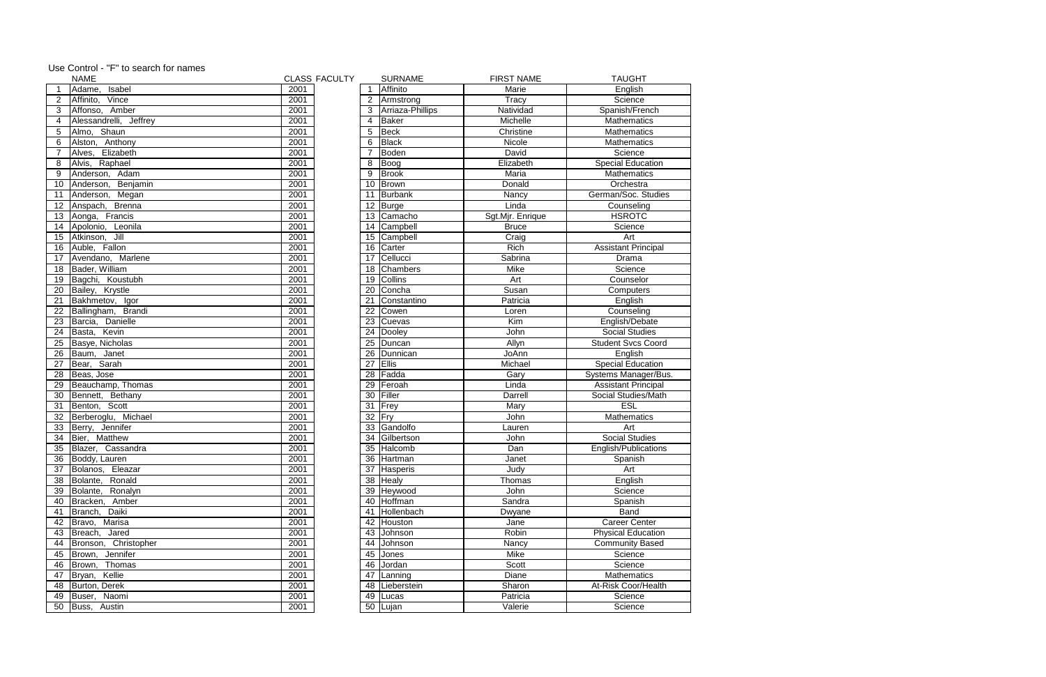|                 | <b>NAME</b>            |      | <b>CLASS FACULTY</b> |                | <b>SURNAME</b>        | <b>FIRST NAME</b> | <b>TAUGHT</b>              |
|-----------------|------------------------|------|----------------------|----------------|-----------------------|-------------------|----------------------------|
|                 | Adame,<br>Isabel       | 2001 |                      | $\mathbf 1$    | Affinito              | Marie             | English                    |
| $\overline{2}$  | Affinito,<br>Vince     | 2001 |                      | $\overline{2}$ | Armstrong             | Tracy             | Science                    |
| 3               | Affonso, Amber         | 2001 |                      | 3              | Arriaza-Phillips      | Natividad         | Spanish/French             |
| 4               | Alessandrelli, Jeffrey | 2001 |                      | 4              | Baker                 | Michelle          | Mathematics                |
| 5               | Almo, Shaun            | 2001 |                      | 5              | Beck                  | Christine         | <b>Mathematics</b>         |
| 6               | Alston, Anthony        | 2001 |                      | 6              | Black                 | Nicole            | <b>Mathematics</b>         |
|                 | Alves,<br>Elizabeth    | 2001 |                      |                | Boden                 | David             | Science                    |
| 8               | Alvis, Raphael         | 2001 |                      | 8              | Boog                  | Elizabeth         | <b>Special Education</b>   |
| 9               | Anderson, Adam         | 2001 |                      | 9              | Brook                 | Maria             | <b>Mathematics</b>         |
| 10              | Anderson,<br>Benjamin  | 2001 |                      | 10             | Brown                 | Donald            | Orchestra                  |
| 11              | Anderson,<br>Megan     | 2001 |                      | 11             | <b>Burbank</b>        | Nancy             | German/Soc. Studies        |
|                 | 12 Anspach, Brenna     | 2001 |                      | 12             | Burge                 | Linda             | Counseling                 |
|                 | 13 Aonga, Francis      | 2001 |                      |                | 13 Camacho            | Sgt.Mjr. Enrique  | <b>HSROTC</b>              |
|                 | 14 Apolonio, Leonila   | 2001 |                      |                | 14 Campbell           | <b>Bruce</b>      | Science                    |
|                 | 15 Atkinson, Jill      | 2001 |                      | 15             | Campbell              | Craig             | Art                        |
|                 | 16 Auble, Fallon       | 2001 |                      | 16             | Carter                | Rich              | <b>Assistant Principal</b> |
|                 | 17 Avendano, Marlene   | 2001 |                      | 17             | Cellucci              | Sabrina           | Drama                      |
|                 | 18 Bader, William      | 2001 |                      | 18             | Chambers              | Mike              | Science                    |
|                 | 19 Bagchi, Koustubh    | 2001 |                      | 19             | Collins               | Art               | Counselor                  |
|                 | 20 Bailey, Krystle     | 2001 |                      | 20             | Concha                | Susan             | Computers                  |
| 21              | Bakhmetov, Igor        | 2001 |                      | 21             | Constantino           | Patricia          | English                    |
| 22              | Ballingham, Brandi     | 2001 |                      | 22             | Cowen                 | Loren             | Counseling                 |
| 23              | Danielle<br>Barcia,    | 2001 |                      | 23             | Cuevas                | Kim               | English/Debate             |
| 24              | Basta, Kevin           | 2001 |                      | 24             | Dooley                | John              | <b>Social Studies</b>      |
| $\overline{25}$ | Basye, Nicholas        | 2001 |                      | 25             | Duncan                | Allyn             | <b>Student Svcs Coord</b>  |
|                 | 26 Baum, Janet         | 2001 |                      | 26             | Dunnican              | JoAnn             | English                    |
| $\overline{27}$ | Bear, Sarah            | 2001 |                      | 27             | <b>Ellis</b>          | Michael           | <b>Special Education</b>   |
|                 | 28 Beas, Jose          | 2001 |                      | 28             | Fadda                 | Gary              | Systems Manager/Bus.       |
|                 | 29 Beauchamp, Thomas   | 2001 |                      | 29             | Feroah                | Linda             | <b>Assistant Principal</b> |
|                 | 30 Bennett, Bethany    | 2001 |                      | 30             | Filler                | Darrell           | Social Studies/Math        |
|                 | 31 Benton, Scott       | 2001 |                      | 31             | Frey                  | Mary              | <b>ESL</b>                 |
|                 | 32 Berberoglu, Michael | 2001 |                      | 32             | Fry                   | John              | <b>Mathematics</b>         |
|                 | 33 Berry, Jennifer     | 2001 |                      | 33             | Gandolfo              | Lauren            | Art                        |
|                 | 34 Bier, Matthew       | 2001 |                      | 34             | <b>IGilbertson</b>    | John              | <b>Social Studies</b>      |
|                 | 35 Blazer, Cassandra   | 2001 |                      |                | 35 Halcomb            | Dan               | English/Publications       |
|                 | 36 Boddy, Lauren       | 2001 |                      |                | 36 Hartman            | Janet             | Spanish                    |
|                 | 37 Bolanos, Eleazar    | 2001 |                      |                | 37 Hasperis           | Judy              | Art                        |
|                 | 38 Bolante,<br>Ronald  | 2001 |                      |                | $\overline{38}$ Healy | Thomas            | English                    |
|                 | 39 Bolante,<br>Ronalyn | 2001 |                      |                | 39 Heywood            | John              | Science                    |
| 40              | Amber<br>Bracken,      | 2001 |                      |                | 40 Hoffman            | Sandra            | Spanish                    |
|                 | 41 Branch, Daiki       | 2001 |                      |                | 41 Hollenbach         | Dwyane            | <b>Band</b>                |
|                 | 42 Bravo,<br>Marisa    | 2001 |                      | 42             | Houston               | Jane              | <b>Career Center</b>       |
|                 | 43 Breach,<br>Jared    | 2001 |                      | 43             | Johnson               | Robin             | <b>Physical Education</b>  |
| 44              | Bronson, Christopher   | 2001 |                      | 44             | Johnson               | Nancy             | <b>Community Based</b>     |
|                 | 45 Brown, Jennifer     | 2001 |                      | 45             | Jones                 | Mike              | Science                    |
|                 | 46 Brown,<br>Thomas    | 2001 |                      | 46             | Jordan                | Scott             | Science                    |
|                 | 47 Bryan, Kellie       | 2001 |                      |                | 47 Lanning            | Diane             | <b>Mathematics</b>         |
|                 | 48 Burton, Derek       | 2001 |                      |                | 48   Lieberstein      | Sharon            | At-Risk Coor/Health        |
|                 | 49 Buser, Naomi        | 2001 |                      |                | 49 Lucas              | Patricia          | Science                    |
|                 | 50 Buss, Austin        | 2001 |                      |                | 50 Lujan              | Valerie           | Science                    |
|                 |                        |      |                      |                |                       |                   |                            |

| Use Control - "F" to search for names |  |  |  |  |
|---------------------------------------|--|--|--|--|
|---------------------------------------|--|--|--|--|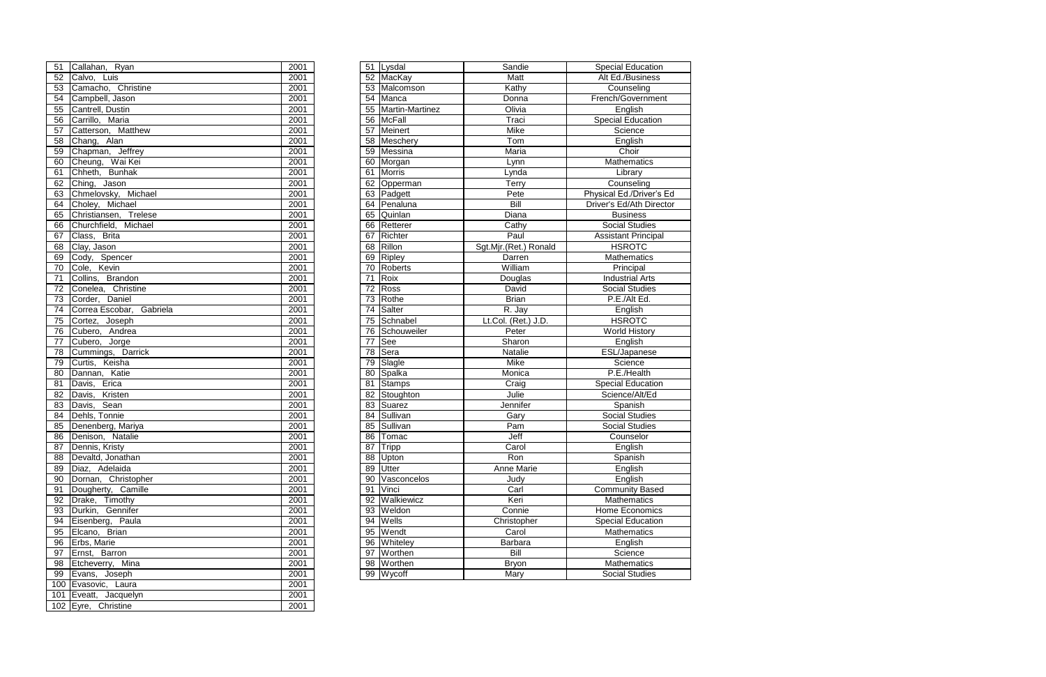|                        | 51 Callahan, Ryan             | 2001         |    | 51 Lysdal                 | Sandie                | <b>Special Education</b>                   |
|------------------------|-------------------------------|--------------|----|---------------------------|-----------------------|--------------------------------------------|
| 52                     | Calvo, Luis                   | 2001         |    | 52 MacKay                 | Matt                  | Alt Ed./Business                           |
| 53                     | Camacho, Christine            | 2001         |    | 53 Malcomson              | Kathy                 | Counseling                                 |
| 54                     | Campbell, Jason               | 2001         |    | 54 Manca                  | Donna                 | French/Government                          |
| 55                     | Cantrell, Dustin              | 2001         |    | 55 Martin-Martinez        | Olivia                | English                                    |
| 56                     | Carrillo, Maria               | 2001         |    | 56 McFall                 | Traci                 | <b>Special Education</b>                   |
| 57                     | Catterson, Matthew            | 2001         |    | 57 Meinert                | <b>Mike</b>           | Science                                    |
| 58                     | Chang, Alan                   | 2001         |    | 58 Meschery               | Tom                   | English                                    |
| 59                     | Chapman, Jeffrey              | 2001         |    | 59 Messina                | Maria                 | Choir                                      |
| 60                     | Cheung, Wai Kei               | 2001         |    | 60 Morgan                 | Lynn                  | Mathematics                                |
| 61                     | Chheth, Bunhak                | 2001         |    | 61 Morris                 | Lynda                 | Library                                    |
| 62                     | Ching, Jason                  | 2001         |    | 62 Opperman               | Terry                 | Counseling                                 |
| 63                     | Chmelovsky, Michael           | 2001         |    | 63 Padgett                | Pete                  | Physical Ed./Driver's Ed                   |
| 64                     | Choley, Michael               | 2001         |    | 64 Penaluna               | Bill                  | Driver's Ed/Ath Director                   |
| 65                     | Christiansen, Trelese         | 2001         |    | 65 Quinlan                | Diana                 | <b>Business</b>                            |
| 66                     | Churchfield, Michael          | 2001         |    | 66 Retterer               | Cathy                 | <b>Social Studies</b>                      |
| 67                     | Class, Brita                  | 2001         |    | 67 Richter                | Paul                  | <b>Assistant Principal</b>                 |
| 68                     | Clay, Jason                   | 2001         |    | 68 Rillon                 | Sgt.Mjr.(Ret.) Ronald | <b>HSROTC</b>                              |
| 69                     | Cody, Spencer                 | 2001         |    | 69 Ripley                 | Darren                | Mathematics                                |
| $\overline{70}$        | Cole, Kevin                   | 2001         |    | 70 Roberts                | William               | Principal                                  |
| 71                     | Collins, Brandon              | 2001         | 71 | Roix                      | Douglas               | <b>Industrial Arts</b>                     |
| $\overline{72}$        | Conelea, Christine            | 2001         |    | 72 Ross                   | David                 | <b>Social Studies</b>                      |
| 73                     | Corder, Daniel                | 2001         |    | 73 Rothe                  | <b>Brian</b>          | P.E./Alt Ed.                               |
| 74                     | Correa Escobar, Gabriela      | 2001         | 74 | Salter                    | R. Jay                | English                                    |
| 75                     | Cortez, Joseph                | 2001         |    | 75 Schnabel               | Lt.Col. (Ret.) J.D.   | <b>HSROTC</b>                              |
| 76                     | Cubero, Andrea                | 2001         |    | 76 Schouweiler            | Peter                 | <b>World History</b>                       |
| 77                     | Cubero, Jorge                 | 2001         | 77 | See                       | Sharon                | English                                    |
| $\overline{78}$        | Cummings, Darrick             | 2001         | 78 | Sera                      | Natalie               | ESL/Japanese                               |
| 79                     | Curtis, Keisha                | 2001         | 79 | Slagle                    | Mike                  | Science                                    |
| 80                     | Dannan, Katie<br>Davis, Erica | 2001         |    | 80 Spalka                 | Monica                | P.E./Health                                |
| 81<br>82               | Kristen<br>Davis,             | 2001<br>2001 |    | 81 Stamps<br>82 Stoughton | Craig<br>Julie        | <b>Special Education</b><br>Science/Alt/Ed |
| 83                     | Sean<br>Davis,                | 2001         |    | 83 Suarez                 | Jennifer              | Spanish                                    |
| $\overline{84}$        | Dehls, Tonnie                 | 2001         |    | 84 Sullivan               | Gary                  | <b>Social Studies</b>                      |
| $\overline{\text{85}}$ | Denenberg, Mariya             | 2001         |    | 85 Sullivan               | Pam                   | <b>Social Studies</b>                      |
|                        | 86 Denison, Natalie           | 2001         |    | 86 Tomac                  | Jeff                  | Counselor                                  |
|                        | 87   Dennis, Kristy           | 2001         |    | 87 Tripp                  | Carol                 | English                                    |
| 88                     | Devaltd, Jonathan             | 2001         |    | 88 Upton                  | Ron                   | Spanish                                    |
| 89                     | Diaz, Adelaida                | 2001         |    | $\overline{89}$ Utter     | Anne Marie            | English                                    |
| 90                     | Dornan, Christopher           | 2001         |    | 90 Vasconcelos            | Judy                  | English                                    |
| 91                     | Dougherty, Camille            | 2001         |    | 91 Vinci                  | Carl                  | <b>Community Based</b>                     |
| 92                     | Drake, Timothy                | 2001         |    | 92 Walkiewicz             | Keri                  | Mathematics                                |
| 93                     | Durkin, Gennifer              | 2001         |    | 93 Weldon                 | Connie                | Home Economics                             |
| 94                     | Eisenberg, Paula              | 2001         |    | 94 Wells                  | Christopher           | <b>Special Education</b>                   |
| 95                     | Elcano, Brian                 | 2001         |    | 95 Wendt                  | Carol                 | Mathematics                                |
| 96                     | Erbs, Marie                   | 2001         |    | 96 Whiteley               | Barbara               | English                                    |
| 97                     | Ernst, Barron                 | 2001         |    | 97 Worthen                | Bill                  | Science                                    |
| 98                     | Etcheverry, Mina              | 2001         |    | 98 Worthen                | <b>Bryon</b>          | Mathematics                                |
| 99                     | Evans, Joseph                 | 2001         |    | 99 Wycoff                 | Mary                  | <b>Social Studies</b>                      |
| $\sim$                 |                               |              |    |                           |                       |                                            |

| 51              | Callahan, Ryan                    | 2001              |
|-----------------|-----------------------------------|-------------------|
| $\overline{52}$ | Calvo, Luis                       | 2001              |
| $\overline{53}$ | Camacho, Christine                | 2001              |
| 54              | Campbell, Jason                   | 2001              |
| 55              | Cantrell, Dustin                  | 2001              |
| $\overline{56}$ | Carrillo, Maria                   | 2001              |
| 57              | Catterson, Matthew                | $\overline{20}01$ |
| 58              | Chang, Alan                       | 2001              |
| $\overline{59}$ | Chapman, Jeffrey                  | 2001              |
| 60              | Cheung, Wai Kei                   | 2001              |
| 61              | Chheth, Bunhak                    | 2001              |
| 62              | Ching, Jason                      | 2001              |
| 63              | Chmelovsky, Michael               | 2001              |
| 64              | Choley, Michael                   | 2001              |
| 65              | Christiansen, Trelese             | 2001              |
| 66              | Churchfield, Michael              | 2001              |
| 67              | Class, Brita                      | 2001              |
| 68              | Clay, Jason                       | 2001              |
| 69              | Cody, Spencer                     | 2001              |
| $70^{\circ}$    | Cole, Kevin                       | 2001              |
| 71              | Collins, Brandon                  | 2001              |
| $\overline{72}$ | Conelea, Christine                | 2001              |
| $\overline{73}$ | Corder, Daniel                    | 2001              |
| 74              | Correa Escobar, Gabriela          | 2001              |
| 75              | Cortez, Joseph                    | 2001              |
| 76              | Cubero, Andrea                    | 2001              |
| 77              | Cubero, Jorge                     | 2001              |
| 78              | Cummings, Darrick                 | 2001              |
| 79              | Curtis, Keisha                    | 2001              |
| 80              | Dannan, Katie                     | 2001              |
| 81              | Davis, Erica                      | 2001              |
| 82              | Davis, Kristen                    | 2001              |
| 83              | Davis, Sean                       | 2001              |
| $84-$           | Dehls, Tonnie                     | 2001              |
|                 | 85 Denenberg, Mariya              | 2001              |
| 86              | Denison, Natalie                  | 2001              |
|                 | 87 Dennis, Kristy                 | 2001              |
| 88              | Devaltd, Jonathan                 | 2001              |
| 89              | Diaz, Adelaida                    | 2001              |
| 90              | Dornan, Christopher               | 2001              |
| 91              | Dougherty, Camille                | 2001              |
| 92              | Drake, Timothy<br>Gennifer        | 2001              |
| 93              | Durkin,                           | 2001<br>2001      |
| 94              | Eisenberg, Paula                  | 2001              |
| 95<br>96        | Elcano, Brian<br>Erbs, Marie      | 2001              |
| 97              | Ernst, Barron                     | 2001              |
| 98              |                                   | 2001              |
| 99              | Etcheverry, Mina<br>Evans, Joseph | 2001              |
| 100             | Evasovic, Laura                   | 2001              |
| 101             | Eveatt, Jacquelyn                 | 2001              |
| 102             | Eyre, Christine                   | 2001              |
|                 |                                   |                   |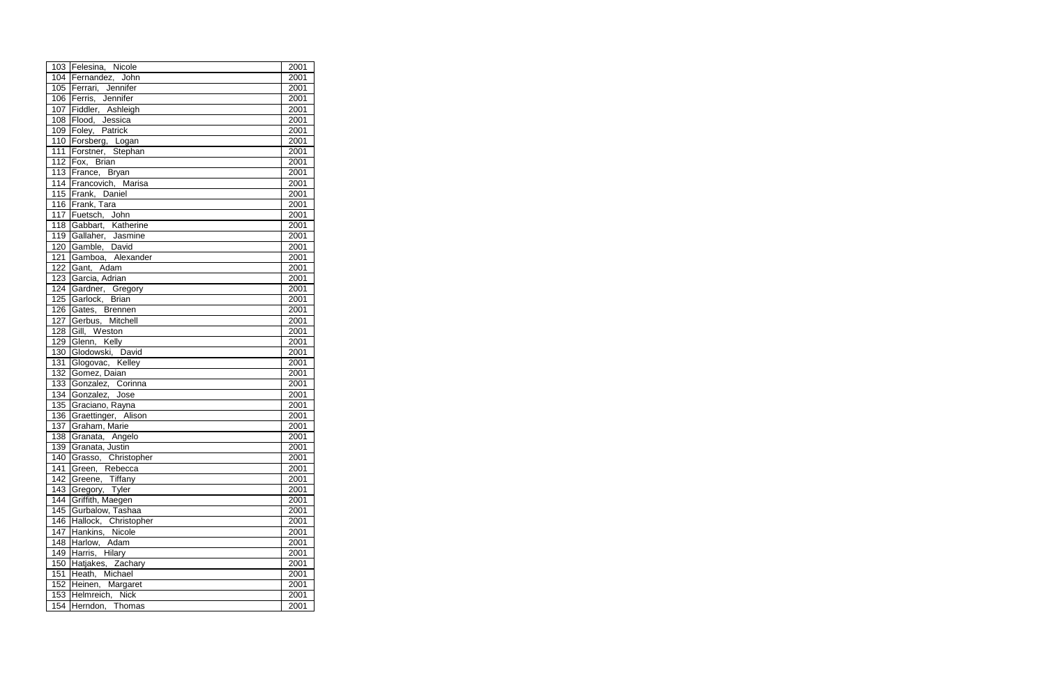|     | 103 Felesina, Nicole                                     | 2001 |
|-----|----------------------------------------------------------|------|
|     | 104 Fernandez, John                                      | 2001 |
|     | 105 Ferrari, Jennifer                                    | 2001 |
| 106 | Ferris, Jennifer                                         | 2001 |
|     | 107 Fiddler, Ashleigh                                    | 2001 |
|     | 108 Flood, Jessica                                       | 2001 |
|     | 109 Foley, Patrick                                       | 2001 |
|     | 110 Forsberg, Logan                                      | 2001 |
|     | 111 Forstner, Stephan                                    | 2001 |
|     | 112 Fox, Brian                                           | 2001 |
|     | 113 France, Bryan                                        | 2001 |
|     | 114 Francovich, Marisa                                   | 2001 |
|     | 115 Frank, Daniel                                        | 2001 |
|     | 116 Frank, Tara                                          | 2001 |
|     | 117 Fuetsch, John                                        | 2001 |
| 118 |                                                          | 2001 |
| 119 |                                                          | 2001 |
| 120 | Gabbart, Katherine<br>Gallaher, Jasmine<br>Gamble, David | 2001 |
| 121 | Gamboa, Alexander                                        | 2001 |
| 122 | Gant, Adam                                               | 2001 |
| 123 | Garcia, Adrian                                           | 2001 |
| 124 | Gardner, Gregory                                         | 2001 |
| 125 | Garlock, Brian                                           | 2001 |
|     | 126 Gates, Brennen                                       | 2001 |
| 127 | Gerbus, Mitchell                                         | 2001 |
| 128 | Gill, Weston                                             | 2001 |
|     | 129 Glenn, Kelly                                         | 2001 |
| 130 | Glodowski, David                                         | 2001 |
| 131 | Glogovac, Kelley                                         | 2001 |
| 132 | Gomez, Daian                                             | 2001 |
| 133 | Gonzalez, Corinna                                        | 2001 |
| 134 | Gonzalez, Jose                                           | 2001 |
| 135 | Graciano, Rayna                                          | 2001 |
|     | 136 Graettinger, Alison                                  | 2001 |
| 137 | Graham, Marie                                            | 2001 |
| 138 | Granata, Angelo                                          | 2001 |
| 139 | Granata, Justin                                          | 2001 |
| 140 | Grasso, Christopher                                      | 2001 |
| 141 | Green, Rebecca                                           | 2001 |
| 142 | Greene, Tiffany                                          | 2001 |
| 143 | Gregory, Tyler                                           | 2001 |
| 144 | Griffith, Maegen                                         | 2001 |
| 145 | Gurbalow, Tashaa                                         | 2001 |
|     | 146 Hallock, Christopher                                 | 2001 |
| 147 | Hankins, Nicole                                          | 2001 |
| 148 | Harlow, Adam                                             | 2001 |
| 149 | Harris, Hilary                                           | 2001 |
| 150 | Hatjakes, Zachary                                        | 2001 |
| 151 | Heath, Michael                                           | 2001 |
| 152 | Heinen, Margaret                                         | 2001 |
| 153 | Helmreich, Nick                                          | 2001 |
| 154 | Herndon, Thomas                                          | 2001 |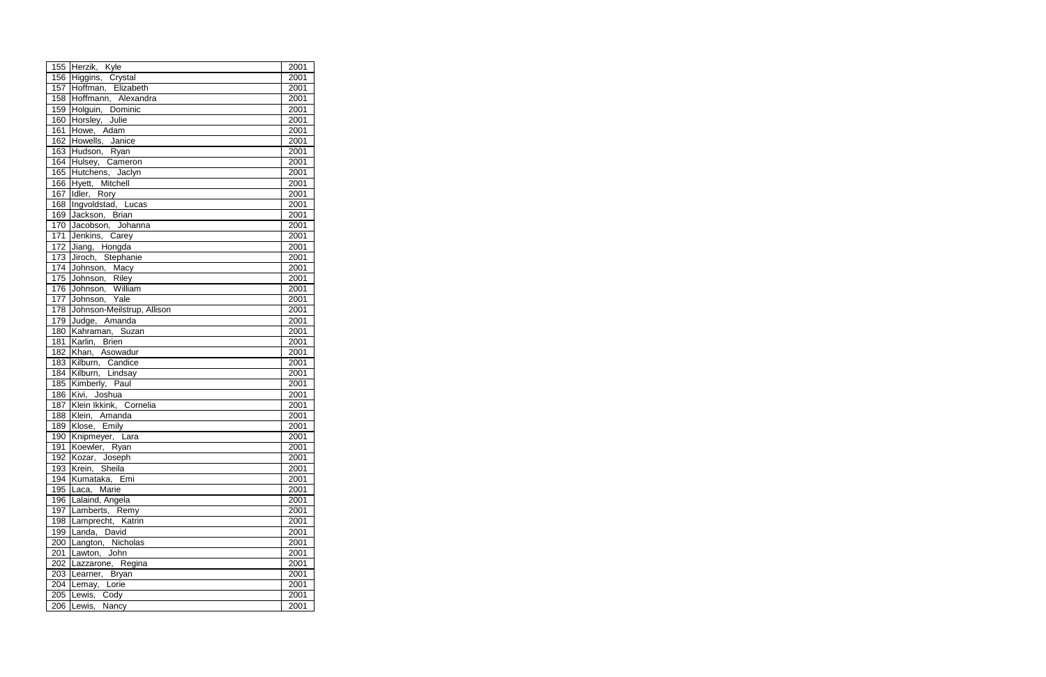|            | 155 Herzik, Kyle               | 2001         |
|------------|--------------------------------|--------------|
|            | 156 Higgins, Crystal           | 2001         |
|            | 157 Hoffman, Elizabeth         | 2001         |
|            | 158 Hoffmann, Alexandra        | 2001         |
|            | 159 Holguin, Dominic           | 2001         |
|            | 160 Horsley, Julie             | 2001         |
|            | 161 Howe, Adam                 | 2001         |
|            | 162 Howells, Janice            | 2001         |
|            | 163 Hudson, Ryan               | 2001         |
|            | 164 Hulsey, Cameron            | 2001         |
|            | 165 Hutchens, Jaclyn           | 2001         |
|            | 166 Hyett, Mitchell            | 2001         |
|            | 167 Idler, Rory                | 2001         |
|            | 168 Ingvoldstad, Lucas         | 2001         |
| 169        | Jackson, Brian                 | 2001         |
|            | 170 Jacobson, Johanna          | 2001         |
| 171        | Jenkins, Carey                 | 2001         |
| 172        | Jiang, Hongda                  | 2001         |
| 173        | Jiroch, Stephanie              | 2001         |
|            | 174 Johnson, Macy              | 2001         |
|            | 175 Johnson, Riley             | 2001         |
|            | 176 Johnson, William           | 2001         |
| 177        | Johnson, Yale                  | 2001         |
|            | 178 Johnson-Meilstrup, Allison | 2001         |
|            | 179 Judge, Amanda              | 2001         |
|            | 180 Kahraman, Suzan            | 2001         |
| 181        | Karlin, Brien                  | 2001         |
|            | 182 Khan, Asowadur             | 2001         |
|            | 183 Kilburn, Candice           | 2001         |
|            | 184 Kilburn, Lindsay           | 2001         |
| 185        | Kimberly, Paul                 | 2001         |
| 186        | Kivi, Joshua                   | 2001         |
| 187        | Klein Ikkink, Cornelia         | 2001         |
| 188        | Klein, Amanda<br>Klose, Emily  | 2001         |
| 189        |                                | 2001         |
| 190        | Knipmeyer, Lara                | 2001         |
| 191        | Koewler, Ryan                  | 2001         |
| 192        | Kozar, Joseph                  | 2001         |
| 193        | Krein, Sheila                  | 2001         |
| 194        | Kumataka,<br>Emi               | 2001         |
|            | 195 $\vert$ Laca,<br>Marie     | 2001         |
|            | 196 Lalaind, Angela            | 2001         |
| 197        | Lamberts, Remy                 | 2001         |
| 198        | Lamprecht, Katrin              | 2001         |
| 199        | Landa, David                   | 2001         |
| 200        | Langton, Nicholas              | 2001         |
| 201        | Lawton, John                   | 2001         |
| 202        | Lazzarone, Regina              | 2001         |
| 203<br>204 | Learner, Bryan                 | 2001<br>2001 |
|            | Lemay, Lorie                   | 2001         |
| 205        | Lewis, Cody                    |              |
| 206        | Lewis, Nancy                   | 2001         |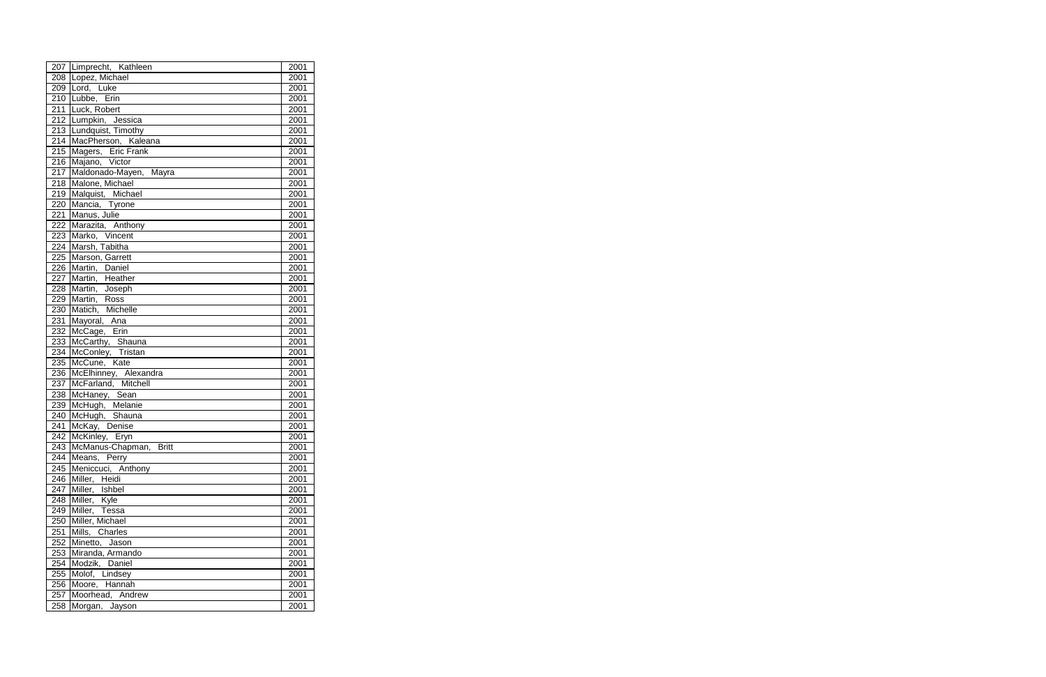|                  | 207 Limprecht, Kathleen              | 2001 |
|------------------|--------------------------------------|------|
|                  | 208 Lopez, Michael                   | 2001 |
|                  | 209 Lord, Luke                       | 2001 |
|                  | 210 Lubbe, Erin                      | 2001 |
|                  | 211 Luck, Robert                     | 2001 |
|                  | 212 Lumpkin, Jessica                 | 2001 |
|                  | 213 Lundquist, Timothy               | 2001 |
|                  | 214 MacPherson, Kaleana              | 2001 |
| 215              | Magers, Eric Frank                   | 2001 |
|                  | 216 Majano, Victor                   | 2001 |
|                  | 217 Maldonado-Mayen, Mayra           | 2001 |
| 218              | Malone, Michael                      | 2001 |
| 219              | Malquist, Michael                    | 2001 |
| $\overline{220}$ | Mancia, Tyrone                       | 2001 |
| 221              | Manus, Julie                         | 2001 |
| $\overline{222}$ | Marazita, Anthony                    | 2001 |
| 223              | Marko, Vincent                       | 2001 |
| $\overline{224}$ | Marsh, Tabitha                       | 2001 |
| 225              | Marson, Garrett                      | 2001 |
|                  | 226 Martin, Daniel                   | 2001 |
| $\overline{227}$ | Martin, Heather                      | 2001 |
| 228              | Martin, Joseph                       | 2001 |
| 229              | Martin, Ross                         | 2001 |
| 230              | Matich, Michelle                     | 2001 |
| 231              | Mayoral, Ana                         | 2001 |
| 232              | McCage, Erin                         | 2001 |
| 233              | McCarthy, Shauna                     | 2001 |
| 234              | McConley, Tristan                    | 2001 |
| $\overline{235}$ | McCune, Kate                         | 2001 |
| 236              | McElhinney, Alexandra                | 2001 |
| 237              | McFarland, Mitchell                  | 2001 |
| 238              | McHaney, Sean                        | 2001 |
| 239              |                                      | 2001 |
| 240              | McHugh, Melanie<br>McHugh, Shauna    | 2001 |
| 241              | McKay, Denise                        | 2001 |
| $\overline{242}$ | McKinley, Eryn                       | 2001 |
|                  | 243 McManus-Chapman,<br><b>Britt</b> | 2001 |
|                  | 244 Means, Perry                     | 2001 |
|                  | 245 Meniccuci, Anthony               | 2001 |
|                  | 246 Miller, Heidi                    | 2001 |
|                  | 247 Miller, Ishbel                   | 2001 |
|                  | 248 Miller, Kyle                     | 2001 |
|                  | 249 Miller, Tessa                    | 2001 |
|                  | 250 Miller, Michael                  | 2001 |
| 251              | Mills, Charles                       | 2001 |
| 252              | Minetto, Jason                       | 2001 |
| 253              | Miranda, Armando                     | 2001 |
| 254              | Modzik, Daniel                       | 2001 |
| 255              | Molof, Lindsey                       | 2001 |
| 256              | Moore, Hannah                        | 2001 |
| 257              | Moorhead, Andrew                     | 2001 |
| 258              | Morgan, Jayson                       | 2001 |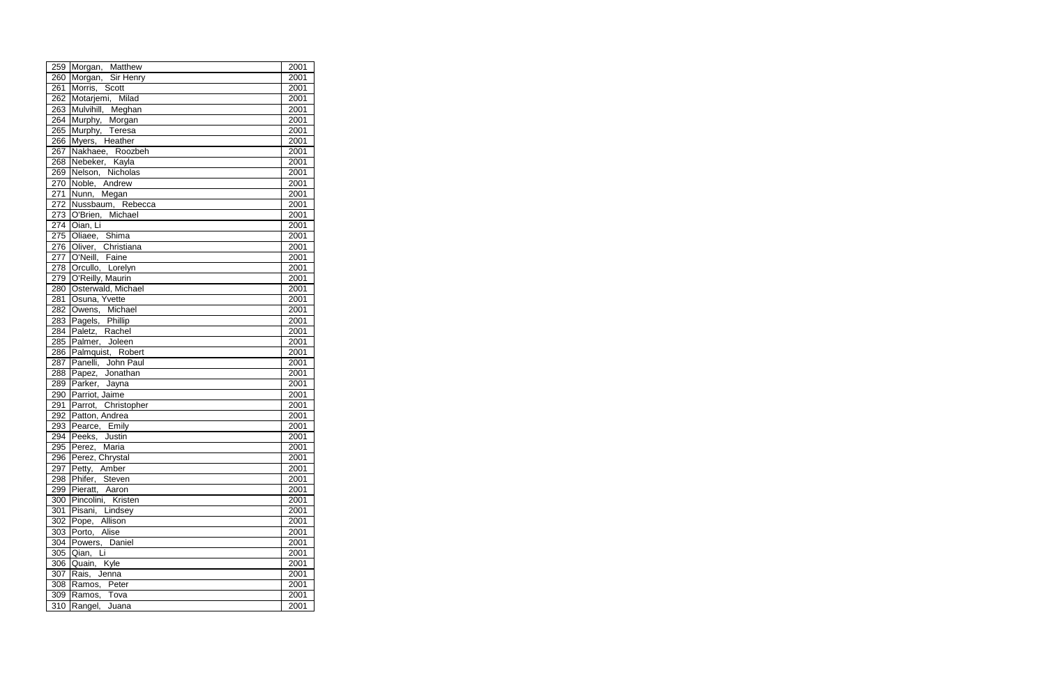|                  | 259 Morgan, Matthew               | 2001              |
|------------------|-----------------------------------|-------------------|
| 260              | Morgan, Sir Henry                 | 2001              |
| 261              | Morris, Scott                     | 2001              |
| 262              | Motarjemi, Milad                  | 2001              |
|                  | 263 Mulvihill, Meghan             | 2001              |
| 264              | Murphy, Morgan                    | 2001              |
| 265              | Murphy, Teresa                    | 2001              |
| 266              | Myers, Heather                    | 2001              |
| 267              | Nakhaee, Roozbeh                  | $\overline{20}01$ |
|                  | 268 Nebeker, Kayla                | 2001              |
| $\overline{269}$ | Nelson, Nicholas                  | 2001              |
| $\overline{270}$ | Noble, Andrew                     | 2001              |
| $\overline{271}$ | Nunn, Megan                       | 2001              |
| $\overline{272}$ | Nussbaum, Rebecca                 | 2001              |
|                  | 273 O'Brien, Michael              | 2001              |
|                  |                                   | 2001              |
|                  | 274 Oian, Li<br>275 Oliaee, Shima | 2001              |
|                  | 276 Oliver, Christiana            | 2001              |
|                  | 277 O'Neill, Faine                | 2001              |
|                  | 278 Orcullo, Lorelyn              | 2001              |
| 279              | O'Reilly, Maurin                  | 2001              |
| 280              | Osterwald, Michael                | 2001              |
| 281              | Osuna, Yvette                     | 2001              |
|                  | 282 Owens, Michael                | 2001              |
| 283              | Pagels, Phillip                   | $\overline{2001}$ |
| 284              | Paletz, Rachel                    | 2001              |
|                  | 285 Palmer, Joleen                | 2001              |
| 286              | Palmquist, Robert                 | 2001              |
| 287              | Panelli, John Paul                | 2001              |
| 288              | Papez, Jonathan                   | 2001              |
| 289              | Parker, Jayna                     | 2001              |
| 290              | Parriot, Jaime                    | 2001              |
| 291              | Parrot, Christopher               | 2001              |
|                  | 292 Patton, Andrea                | 2001              |
|                  | 293 Pearce, Emily                 | 2001              |
|                  | 294 Peeks, Justin                 | 2001              |
|                  | 295 Perez, Maria                  | 2001              |
|                  | 296   Perez, Chrystal             | 2001              |
| 297              | Petty, Amber                      | 2001              |
| 298              | Phifer, Steven                    | 2001              |
| 299              | Pieratt, Aaron                    | 2001              |
| 300              | Pincolini, Kristen                | 2001              |
| 301              | Pisani, Lindsey                   | 2001              |
| 302              | Pope, Allison                     | 2001              |
| 303              | Porto, Alise                      | 2001              |
| 304              | Powers, Daniel                    | 2001              |
| 305              | Li<br>Qian,                       | 2001              |
| 306              | Quain, Kyle                       | 2001              |
| 307              | Rais, Jenna                       | 2001              |
| 308              | Ramos,<br>Peter                   | 2001              |
| 309              | Ramos, Tova                       | 2001              |
| 310              | Rangel,<br>Juana                  | 2001              |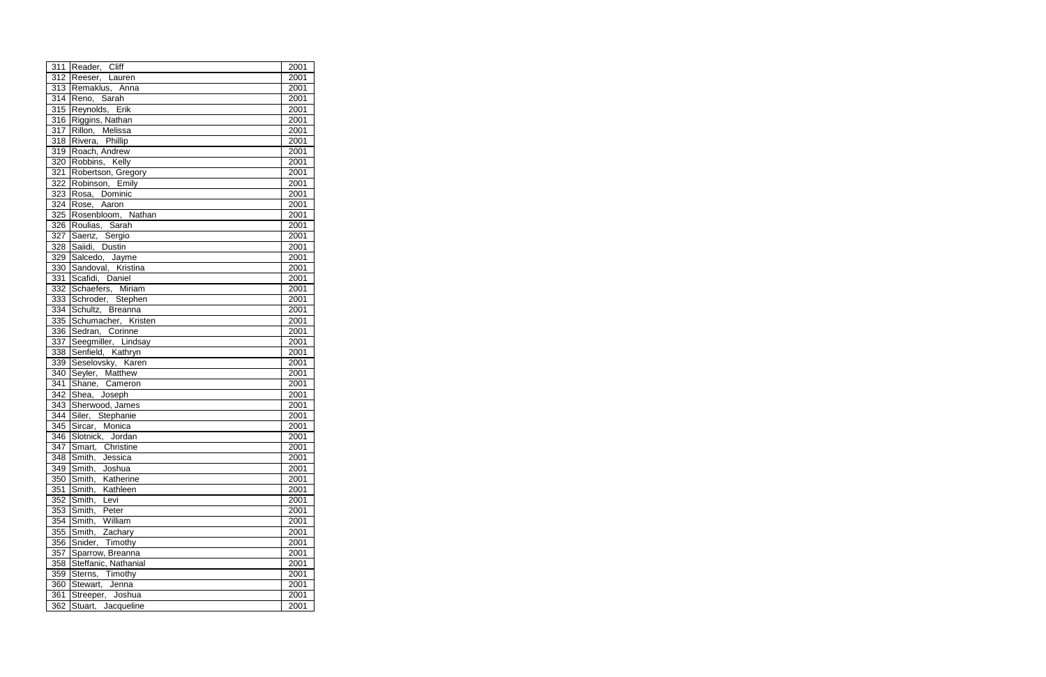|                  | 311 Reader, Cliff               | 2001 |
|------------------|---------------------------------|------|
|                  | 312 Reeser, Lauren              | 2001 |
|                  | 313 Remaklus, Anna              | 2001 |
| 314              | Reno, Sarah                     | 2001 |
| 315              | Reynolds, Erik                  | 2001 |
|                  | 316 Riggins, Nathan             | 2001 |
| 317              | Rillon, Melissa                 | 2001 |
| 318              | Rivera, Phillip                 | 2001 |
|                  | 319 Roach, Andrew               | 2001 |
|                  | 320 Robbins, Kelly              | 2001 |
|                  | 321 Robertson, Gregory          | 2001 |
|                  | 322 Robinson, Emily             | 2001 |
|                  | 323 Rosa, Dominic               | 2001 |
|                  | 324 Rose, Aaron                 | 2001 |
| 325              | Rosenbloom, Nathan              | 2001 |
|                  | 326 Roulias, Sarah              | 2001 |
| $\overline{327}$ |                                 | 2001 |
| 328              | Saenz, Sergio<br>Saiidi, Dustin | 2001 |
| 329              | Salcedo, Jayme                  | 2001 |
| 330              | Sandoval, Kristina              | 2001 |
| 331              | Scafidi, Daniel                 | 2001 |
| 332              | Schaefers, Miriam               | 2001 |
| $\overline{3}33$ | Schroder, Stephen               | 2001 |
| 334              | Schultz, Breanna                | 2001 |
| 335              | Schumacher, Kristen             | 2001 |
| 336              | Sedran, Corinne                 | 2001 |
| 337              | Seegmiller, Lindsay             | 2001 |
| 338              | Senfield, Kathryn               | 2001 |
| 339              | Seselovsky, Karen               | 2001 |
| $\overline{340}$ | Seyler, Matthew                 | 2001 |
| 341              | Shane, Cameron                  | 2001 |
| 342              | Shea, Joseph                    | 2001 |
| 343              | Sherwood, James                 | 2001 |
| 344              | Siler, Stephanie                | 2001 |
| 345              | Sircar, Monica                  | 2001 |
| 346              | Slotnick, Jordan                | 2001 |
| 347              | Smart,<br>Christine             | 2001 |
| 348              | Smith,<br>Jessica               | 2001 |
| 349              | Smith,<br>Joshua                | 2001 |
| 350              | Smith,<br>Katherine             | 2001 |
| 351              | Smith,<br>Kathleen              | 2001 |
| 352              | Smith,<br>Levi                  | 2001 |
| 353              | Smith,<br>Peter                 | 2001 |
| 354              | Smith,<br>William               | 2001 |
| 355              | Smith,<br>Zachary               | 2001 |
| 356              | Snider,<br>Timothy              | 2001 |
| 357              | Sparrow, Breanna                | 2001 |
| 358              | Steffanic, Nathanial            | 2001 |
| 359              | Sterns,<br>Timothy              | 2001 |
| 360              | Stewart,<br>Jenna               | 2001 |
| 361              | Streeper, Joshua                | 2001 |
| 362              | Jacqueline<br>Stuart,           | 2001 |